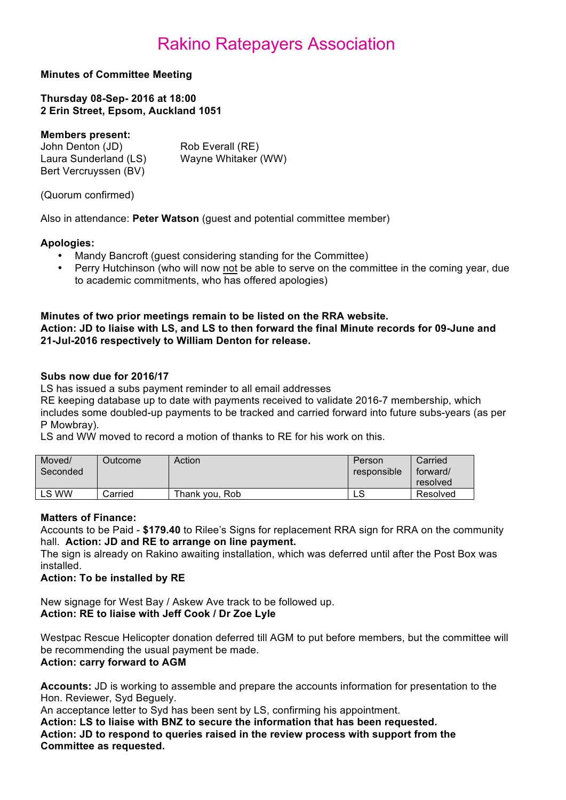#### **Minutes of Committee Meeting**

**Thursday 08-Sep- 2016 at 18:00 2 Erin Street, Epsom, Auckland 1051**

#### **Members present:**

| John Denton (JD)      | Rob Everall (RE)    |
|-----------------------|---------------------|
| Laura Sunderland (LS) | Wayne Whitaker (WW) |
| Bert Vercruyssen (BV) |                     |

(Quorum confirmed)

Also in attendance: **Peter Watson** (guest and potential committee member)

#### **Apologies:**

- Mandy Bancroft (guest considering standing for the Committee)
- Perry Hutchinson (who will now not be able to serve on the committee in the coming year, due to academic commitments, who has offered apologies)

#### **Minutes of two prior meetings remain to be listed on the RRA website. Action: JD to liaise with LS, and LS to then forward the final Minute records for 09-June and 21-Jul-2016 respectively to William Denton for release.**

#### **Subs now due for 2016/17**

LS has issued a subs payment reminder to all email addresses

RE keeping database up to date with payments received to validate 2016-7 membership, which includes some doubled-up payments to be tracked and carried forward into future subs-years (as per P Mowbray).

LS and WW moved to record a motion of thanks to RE for his work on this.

| Moved/<br>Seconded | <b>Dutcome</b> | Action         | Person<br>responsible | Carried<br>forward/<br>resolved |
|--------------------|----------------|----------------|-----------------------|---------------------------------|
| LS WW              | Carried        | Thank vou. Rob | c<br>∟ບ               | Resolved                        |

#### **Matters of Finance:**

Accounts to be Paid - **\$179.40** to Rilee's Signs for replacement RRA sign for RRA on the community hall. **Action: JD and RE to arrange on line payment.**

The sign is already on Rakino awaiting installation, which was deferred until after the Post Box was installed.

#### **Action: To be installed by RE**

New signage for West Bay / Askew Ave track to be followed up. **Action: RE to liaise with Jeff Cook / Dr Zoe Lyle** 

Westpac Rescue Helicopter donation deferred till AGM to put before members, but the committee will be recommending the usual payment be made.

#### **Action: carry forward to AGM**

**Accounts:** JD is working to assemble and prepare the accounts information for presentation to the Hon. Reviewer, Syd Beguely.

An acceptance letter to Syd has been sent by LS, confirming his appointment.

**Action: LS to liaise with BNZ to secure the information that has been requested. Action: JD to respond to queries raised in the review process with support from the Committee as requested.**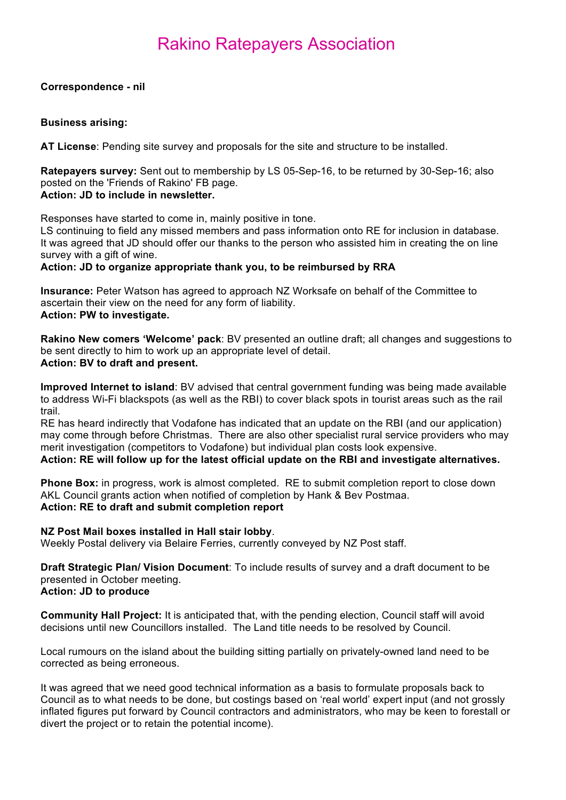#### **Correspondence - nil**

#### **Business arising:**

**AT License**: Pending site survey and proposals for the site and structure to be installed.

**Ratepayers survey:** Sent out to membership by LS 05-Sep-16, to be returned by 30-Sep-16; also posted on the 'Friends of Rakino' FB page. **Action: JD to include in newsletter.**

Responses have started to come in, mainly positive in tone.

LS continuing to field any missed members and pass information onto RE for inclusion in database. It was agreed that JD should offer our thanks to the person who assisted him in creating the on line survey with a gift of wine.

#### **Action: JD to organize appropriate thank you, to be reimbursed by RRA**

**Insurance:** Peter Watson has agreed to approach NZ Worksafe on behalf of the Committee to ascertain their view on the need for any form of liability. **Action: PW to investigate.**

**Rakino New comers 'Welcome' pack**: BV presented an outline draft; all changes and suggestions to be sent directly to him to work up an appropriate level of detail. **Action: BV to draft and present.**

**Improved Internet to island**: BV advised that central government funding was being made available to address Wi-Fi blackspots (as well as the RBI) to cover black spots in tourist areas such as the rail trail.

RE has heard indirectly that Vodafone has indicated that an update on the RBI (and our application) may come through before Christmas. There are also other specialist rural service providers who may merit investigation (competitors to Vodafone) but individual plan costs look expensive.

#### **Action: RE will follow up for the latest official update on the RBI and investigate alternatives.**

**Phone Box:** in progress, work is almost completed. RE to submit completion report to close down AKL Council grants action when notified of completion by Hank & Bev Postmaa. **Action: RE to draft and submit completion report**

#### **NZ Post Mail boxes installed in Hall stair lobby**.

Weekly Postal delivery via Belaire Ferries, currently conveyed by NZ Post staff.

**Draft Strategic Plan/ Vision Document**: To include results of survey and a draft document to be presented in October meeting. **Action: JD to produce**

**Community Hall Project:** It is anticipated that, with the pending election, Council staff will avoid decisions until new Councillors installed. The Land title needs to be resolved by Council.

Local rumours on the island about the building sitting partially on privately-owned land need to be corrected as being erroneous.

It was agreed that we need good technical information as a basis to formulate proposals back to Council as to what needs to be done, but costings based on 'real world' expert input (and not grossly inflated figures put forward by Council contractors and administrators, who may be keen to forestall or divert the project or to retain the potential income).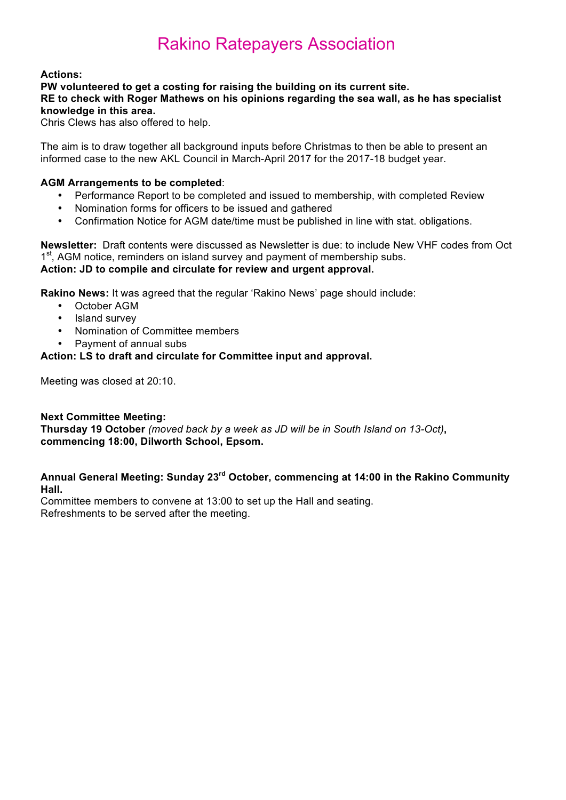#### **Actions:**

#### **PW volunteered to get a costing for raising the building on its current site. RE to check with Roger Mathews on his opinions regarding the sea wall, as he has specialist knowledge in this area.**

Chris Clews has also offered to help.

The aim is to draw together all background inputs before Christmas to then be able to present an informed case to the new AKL Council in March-April 2017 for the 2017-18 budget year.

#### **AGM Arrangements to be completed**:

- Performance Report to be completed and issued to membership, with completed Review
- Nomination forms for officers to be issued and gathered
- Confirmation Notice for AGM date/time must be published in line with stat. obligations.

**Newsletter:** Draft contents were discussed as Newsletter is due: to include New VHF codes from Oct 1<sup>st</sup>, AGM notice, reminders on island survey and payment of membership subs. **Action: JD to compile and circulate for review and urgent approval.**

**Rakino News:** It was agreed that the regular 'Rakino News' page should include:

- October AGM
- Island survey
- Nomination of Committee members
- Payment of annual subs

#### **Action: LS to draft and circulate for Committee input and approval.**

Meeting was closed at 20:10.

#### **Next Committee Meeting:**

**Thursday 19 October** *(moved back by a week as JD will be in South Island on 13-Oct)***, commencing 18:00, Dilworth School, Epsom.**

#### **Annual General Meeting: Sunday 23rd October, commencing at 14:00 in the Rakino Community Hall.**

Committee members to convene at 13:00 to set up the Hall and seating. Refreshments to be served after the meeting.